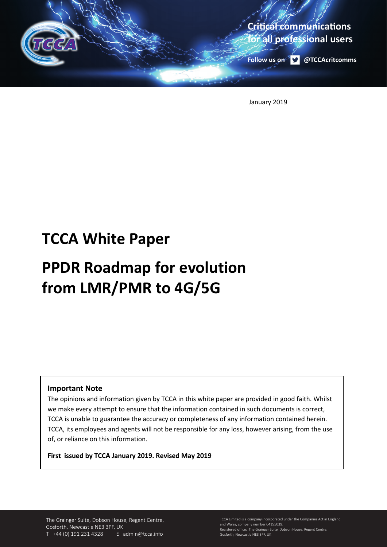

January 2019

## **TCCA White Paper**

# **PPDR Roadmap for evolution from LMR/PMR to 4G/5G**

#### **Important Note**

The opinions and information given by TCCA in this white paper are provided in good faith. Whilst we make every attempt to ensure that the information contained in such documents is correct, TCCA is unable to guarantee the accuracy or completeness of any information contained herein. TCCA, its employees and agents will not be responsible for any loss, however arising, from the use of, or reliance on this information.

**First issued by TCCA January 2019. Revised May 2019**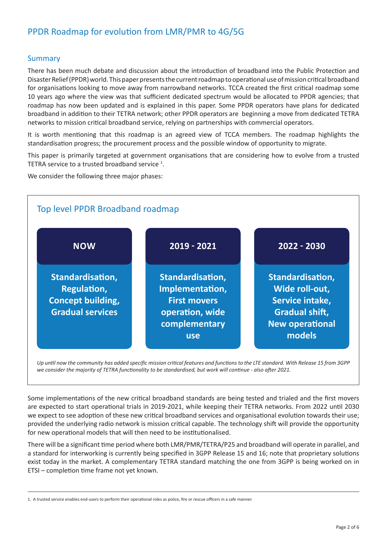### PPDR Roadmap for evolution from LMR/PMR to 4G/5G

#### Summary

There has been much debate and discussion about the introduction of broadband into the Public Protection and Disaster Relief (PPDR) world. This paper presents the current roadmap to operational use of mission critical broadband for organisations looking to move away from narrowband networks. TCCA created the first critical roadmap some 10 years ago where the view was that sufficient dedicated spectrum would be allocated to PPDR agencies; that roadmap has now been updated and is explained in this paper. Some PPDR operators have plans for dedicated broadband in addition to their TETRA network; other PPDR operators are beginning a move from dedicated TETRA networks to mission critical broadband service, relying on partnerships with commercial operators.

It is worth mentioning that this roadmap is an agreed view of TCCA members. The roadmap highlights the standardisation progress; the procurement process and the possible window of opportunity to migrate.

This paper is primarily targeted at government organisations that are considering how to evolve from a trusted TETRA service to a trusted broadband service  $1$ .

We consider the following three major phases:



*Up until now the community has added specific mission critical features and functions to the LTE standard. With Release 15 from 3GPP*  we consider the majority of TETRA functionality to be standardised, but work will continue - also after 2021.

Some implementations of the new critical broadband standards are being tested and trialed and the first movers are expected to start operational trials in 2019-2021, while keeping their TETRA networks. From 2022 until 2030 we expect to see adoption of these new critical broadband services and organisational evolution towards their use; provided the underlying radio network is mission critical capable. The technology shift will provide the opportunity for new operational models that will then need to be institutionalised.

There will be a significant time period where both LMR/PMR/TETRA/P25 and broadband will operate in parallel, and a standard for interworking is currently being specified in 3GPP Release 15 and 16; note that proprietary solutions exist today in the market. A complementary TETRA standard matching the one from 3GPP is being worked on in ETSI – completion time frame not yet known.

<sup>1.</sup> A trusted service enables end-users to perform their operational roles as police, fire or rescue officers in a safe manner.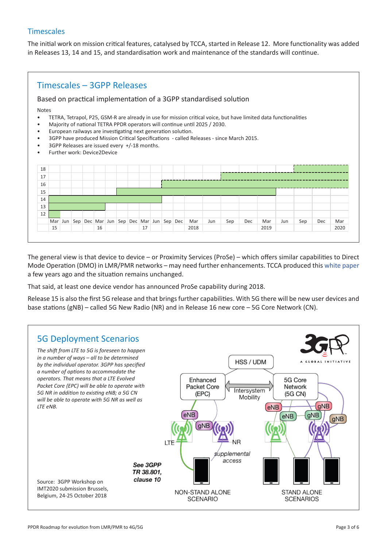#### **Timescales**

The initial work on mission critical features, catalysed by TCCA, started in Release 12. More functionality was added in Releases 13, 14 and 15, and standardisation work and maintenance of the standards will continue.



The general view is that device to device – or Proximity Services (ProSe) – which offers similar capabilities to Direct Mode Operation (DMO) in LMR/PMR networks – may need further enhancements. TCCA produced this white paper a few years ago and the situation remains unchanged.

That said, at least one device vendor has announced ProSe capability during 2018.

Release 15 is also the first 5G release and that brings further capabilities. With 5G there will be new user devices and base stations (gNB) – called 5G New Radio (NR) and in Release 16 new core – 5G Core Network (CN).

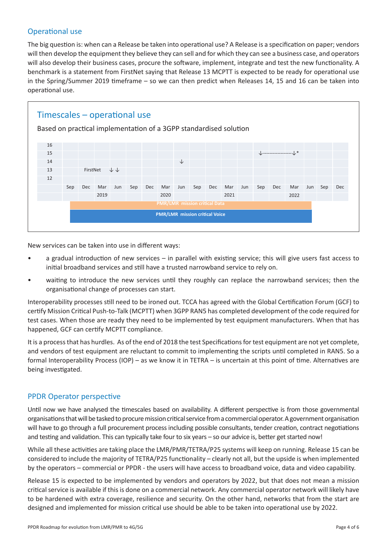#### Operational use

The big question is: when can a Release be taken into operational use? A Release is a specification on paper; vendors will then develop the equipment they believe they can sell and for which they can see a business case, and operators will also develop their business cases, procure the software, implement, integrate and test the new functionality. A benchmark is a statement from FirstNet saying that Release 13 MCPTT is expected to be ready for operational use in the Spring/Summer 2019 timeframe – so we can then predict when Releases 14, 15 and 16 can be taken into operational use.



New services can be taken into use in different ways:

- a gradual introduction of new services in parallel with existing service; this will give users fast access to initial broadband services and still have a trusted narrowband service to rely on.
- waiting to introduce the new services until they roughly can replace the narrowband services; then the organisational change of processes can start.

Interoperability processes still need to be ironed out. TCCA has agreed with the Global Certification Forum (GCF) to certify Mission Critical Push-to-Talk (MCPTT) when 3GPP RAN5 has completed development of the code required for test cases. When those are ready they need to be implemented by test equipment manufacturers. When that has happened, GCF can certify MCPTT compliance.

It is a process that has hurdles. As of the end of 2018 the test Specifications for test equipment are not yet complete, and vendors of test equipment are reluctant to commit to implementing the scripts until completed in RAN5. So a formal Interoperability Process (IOP) – as we know it in TETRA – is uncertain at this point of time. Alternatives are being investigated.

#### PPDR Operator perspective

Until now we have analysed the timescales based on availability. A different perspective is from those governmental organisations that will be tasked to procure mission critical service from a commercial operator. A government organisation will have to go through a full procurement process including possible consultants, tender creation, contract negotiations and testing and validation. This can typically take four to six years – so our advice is, better get started now!

While all these activities are taking place the LMR/PMR/TETRA/P25 systems will keep on running. Release 15 can be considered to include the majority of TETRA/P25 functionality – clearly not all, but the upside is when implemented by the operators – commercial or PPDR - the users will have access to broadband voice, data and video capability.

Release 15 is expected to be implemented by vendors and operators by 2022, but that does not mean a mission critical service is available if this is done on a commercial network. Any commercial operator network will likely have to be hardened with extra coverage, resilience and security. On the other hand, networks that from the start are designed and implemented for mission critical use should be able to be taken into operational use by 2022.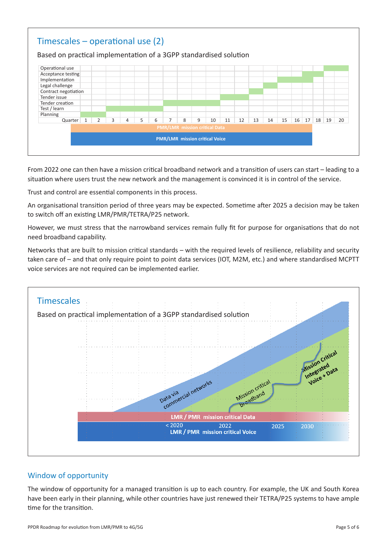

From 2022 one can then have a mission critical broadband network and a transition of users can start – leading to a situation where users trust the new network and the management is convinced it is in control of the service.

Trust and control are essential components in this process.

An organisational transition period of three years may be expected. Sometime after 2025 a decision may be taken to switch off an existing LMR/PMR/TETRA/P25 network.

However, we must stress that the narrowband services remain fully fit for purpose for organisations that do not need broadband capability.

Networks that are built to mission critical standards – with the required levels of resilience, reliability and security taken care of – and that only require point to point data services (IOT, M2M, etc.) and where standardised MCPTT voice services are not required can be implemented earlier.



#### Window of opportunity

The window of opportunity for a managed transition is up to each country. For example, the UK and South Korea have been early in their planning, while other countries have just renewed their TETRA/P25 systems to have ample time for the transition.